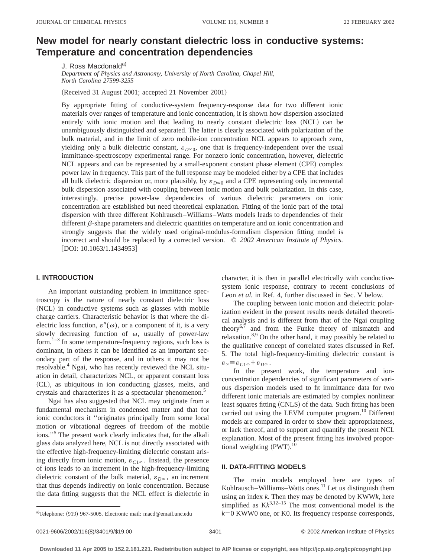# **New model for nearly constant dielectric loss in conductive systems: Temperature and concentration dependencies**

J. Ross Macdonald<sup>a)</sup>

*Department of Physics and Astronomy, University of North Carolina, Chapel Hill, North Carolina 27599-3255*

(Received 31 August 2001; accepted 21 November 2001)

By appropriate fitting of conductive-system frequency-response data for two different ionic materials over ranges of temperature and ionic concentration, it is shown how dispersion associated entirely with ionic motion and that leading to nearly constant dielectric loss (NCL) can be unambiguously distinguished and separated. The latter is clearly associated with polarization of the bulk material, and in the limit of zero mobile-ion concentration NCL appears to approach zero, yielding only a bulk dielectric constant,  $\varepsilon_{D\infty}$ , one that is frequency-independent over the usual immittance-spectroscopy experimental range. For nonzero ionic concentration, however, dielectric NCL appears and can be represented by a small-exponent constant phase element (CPE) complex power law in frequency. This part of the full response may be modeled either by a CPE that includes all bulk dielectric dispersion or, more plausibly, by  $\varepsilon_{D\infty}$  and a CPE representing only incremental bulk dispersion associated with coupling between ionic motion and bulk polarization. In this case, interestingly, precise power-law dependencies of various dielectric parameters on ionic concentration are established but need theoretical explanation. Fitting of the ionic part of the total dispersion with three different Kohlrausch–Williams–Watts models leads to dependencies of their different  $\beta$ -shape parameters and dielectric quantities on temperature and on ionic concentration and strongly suggests that the widely used original-modulus-formalism dispersion fitting model is incorrect and should be replaced by a corrected version. © *2002 American Institute of Physics.* [DOI: 10.1063/1.1434953]

# **I. INTRODUCTION**

An important outstanding problem in immittance spectroscopy is the nature of nearly constant dielectric loss (NCL) in conductive systems such as glasses with mobile charge carriers. Characteristic behavior is that where the dielectric loss function,  $\varepsilon''(\omega)$ , or a component of it, is a very slowly decreasing function of  $\omega$ , usually of power-law form. $1-3$  In some temperature-frequency regions, such loss is dominant, in others it can be identified as an important secondary part of the response, and in others it may not be resolvable.4 Ngai, who has recently reviewed the NCL situation in detail, characterizes NCL, or apparent constant loss ~CL!, as ubiquitous in ion conducting glasses, melts, and crystals and characterizes it as a spectacular phenomenon.5

Ngai has also suggested that NCL may originate from a fundamental mechanism in condensed matter and that for ionic conductors it ''originates principally from some local motion or vibrational degrees of freedom of the mobile ions."<sup>5</sup> The present work clearly indicates that, for the alkali glass data analyzed here, NCL is not directly associated with the effective high-frequency-limiting dielectric constant arising directly from ionic motion,  $\varepsilon_{C1\infty}$ . Instead, the presence of ions leads to an increment in the high-frequency-limiting dielectric constant of the bulk material,  $\varepsilon_{D\infty}$ , an increment that thus depends indirectly on ionic concentration. Because the data fitting suggests that the NCL effect is dielectric in character, it is then in parallel electrically with conductivesystem ionic response, contrary to recent conclusions of Leon *et al.* in Ref. 4, further discussed in Sec. V below.

The coupling between ionic motion and dielectric polarization evident in the present results needs detailed theoretical analysis and is different from that of the Ngai coupling theory $6,7$  and from the Funke theory of mismatch and relaxation.<sup>8,9</sup> On the other hand, it may possibly be related to the qualitative concept of correlated states discussed in Ref. 5. The total high-frequency-limiting dielectric constant is  $\varepsilon_{\infty} = \varepsilon_{C1\infty} + \varepsilon_{D\infty}$ .

In the present work, the temperature and ionconcentration dependencies of significant parameters of various dispersion models used to fit immittance data for two different ionic materials are estimated by complex nonlinear least squares fitting (CNLS) of the data. Such fitting has been carried out using the LEVM computer program.<sup>10</sup> Different models are compared in order to show their appropriateness, or lack thereof, and to support and quantify the present NCL explanation. Most of the present fitting has involved proportional weighting  $(PWT)$ .<sup>10</sup>

# **II. DATA-FITTING MODELS**

The main models employed here are types of Kohlrausch–Williams–Watts ones.<sup>11</sup> Let us distinguish them using an index *k*. Then they may be denoted by KWW*k*, here simplified as  $Kk^{3,12-15}$  The most conventional model is the  $k=0$  KWW0 one, or K0. Its frequency response corresponds,

<sup>&</sup>lt;sup>a)</sup>Telephone:  $(919)$  967-5005. Electronic mail: macd@email.unc.edu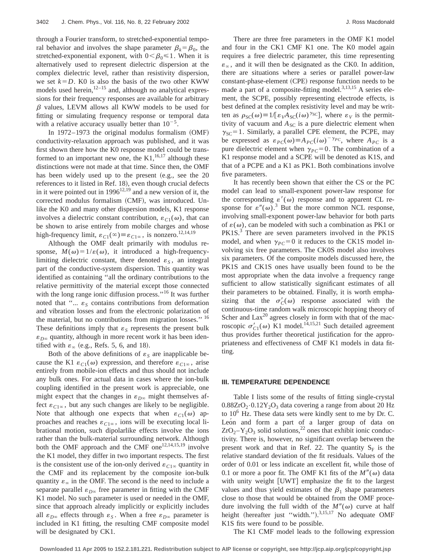through a Fourier transform, to stretched-exponential temporal behavior and involves the shape parameter  $\beta_k = \beta_0$ , the stretched-exponential exponent, with  $0 < \beta_0 \le 1$ . When it is alternatively used to represent dielectric dispersion at the complex dielectric level, rather than resistivity dispersion, we set  $k=D$ . K0 is also the basis of the two other KWW models used herein,  $12-15$  and, although no analytical expressions for their frequency responses are available for arbitrary  $\beta$  values, LEVM allows all KWW models to be used for fitting or simulating frequency response or temporal data with a relative accuracy usually better than  $10^{-5}$ .

In  $1972-1973$  the original modulus formalism  $(OMF)$ conductivity-relaxation approach was published, and it was first shown there how the K0 response model could be transformed to an important new one, the  $K1$ ,  $^{16,17}$  although these distinctions were not made at that time. Since then, the OMF has been widely used up to the present  $(e.g.,)$  see the 20 references to it listed in Ref. 18), even though crucial defects in it were pointed out in  $1996^{12,19}$  and a new version of it, the corrected modulus formalism (CMF), was introduced. Unlike the K0 and many other dispersion models, K1 response involves a dielectric constant contribution,  $\varepsilon_{C1}(\omega)$ , that can be shown to arise entirely from mobile charges and whose high-frequency limit,  $\varepsilon_{C1}(\infty) \equiv \varepsilon_{C1\infty}$ , is nonzero.<sup>12,14,19</sup>

Although the OMF dealt primarily with modulus response,  $M(\omega) = 1/\varepsilon(\omega)$ , it introduced a high-frequencylimiting dielectric constant, there denoted  $\varepsilon_s$ , an integral part of the conductive-system dispersion. This quantity was identified as containing ''all the ordinary contributions to the relative permittivity of the material except those connected with the long range ionic diffusion process."<sup>16</sup> It was further noted that " $\ldots$   $\varepsilon$ <sub>S</sub> contains contributions from deformation and vibration losses and from the electronic polarization of the material, but no contributions from migration losses." <sup>16</sup> These definitions imply that  $\varepsilon<sub>S</sub>$  represents the present bulk  $\varepsilon_{D^\infty}$  quantity, although in more recent work it has been identified with  $\varepsilon_{\infty}$  (e.g., Refs. 5, 6, and 18).

Both of the above definitions of  $\varepsilon_s$  are inapplicable because the K1  $\varepsilon_{C1}(\omega)$  expression, and therefore  $\varepsilon_{C1\infty}$ , arise entirely from mobile-ion effects and thus should not include any bulk ones. For actual data in cases where the ion-bulk coupling identified in the present work is appreciable, one might expect that the changes in  $\varepsilon_{D^\infty}$  might themselves affect  $\varepsilon_{C1\infty}$ , but any such changes are likely to be negligible. Note that although one expects that when  $\varepsilon_{C1}(\omega)$  approaches and reaches  $\varepsilon_{C1\infty}$ , ions will be executing local librational motion, such dipolarlike effects involve the ions rather than the bulk-material surrounding network. Although both the OMF approach and the CMF one<sup>12,14,15,19</sup> involve the K1 model, they differ in two important respects. The first is the consistent use of the ion-only derived  $\varepsilon_{C1\infty}$  quantity in the CMF and its replacement by the composite ion-bulk quantity  $\varepsilon_{\infty}$  in the OMF. The second is the need to include a separate parallel  $\varepsilon_{D^\infty}$  free parameter in fitting with the CMF K1 model. No such parameter is used or needed in the OMF, since that approach already implicitly or explicitly includes all  $\varepsilon_{D^\infty}$  effects through  $\varepsilon_S$ . When a free  $\varepsilon_{D^\infty}$  parameter is included in K1 fitting, the resulting CMF composite model will be designated by CK1.

There are three free parameters in the OMF K1 model and four in the CK1 CMF K1 one. The K0 model again requires a free dielectric parameter, this time representing  $\varepsilon_{\infty}$ , and it will then be designated as the CK0. In addition, there are situations where a series or parallel power-law constant-phase-element (CPE) response function needs to be made a part of a composite-fitting model. $3,13,15$  A series element, the SCPE, possibly representing electrode effects, is best defined at the complex resistivity level and may be written as  $\rho_{SC}(\omega) \equiv 1/[\varepsilon_V A_{SC}(i\omega)^{\gamma_{SC}}]$ , where  $\varepsilon_V$  is the permittivity of vacuum and  $A_{SC}$  is a pure dielectric element when  $\gamma_{SC}$ =1. Similarly, a parallel CPE element, the PCPE, may be expressed as  $\varepsilon_{PC}(\omega) \equiv A_{PC}(i\omega)^{-\gamma_{PC}}$ , where  $A_{PC}$  is a pure dielectric element when  $\gamma_{PC}$ =0. The combination of a K1 response model and a SCPE will be denoted as K1S, and that of a PCPE and a K1 as PK1. Both combinations involve five parameters.

It has recently been shown that either the CS or the PC model can lead to small-exponent power-law response for the corresponding  $\varepsilon'(\omega)$  response and to apparent CL response for  $\varepsilon''(\omega)$ .<sup>3</sup> But the more common NCL response, involving small-exponent power-law behavior for both parts of  $\varepsilon(\omega)$ , can be modeled with such a combination as PK1 or PK1S.<sup>3</sup> There are seven parameters involved in the PK1S model, and when  $\gamma_{PC}$ =0 it reduces to the CK1S model involving six free parameters. The CK0S model also involves six parameters. Of the composite models discussed here, the PK1S and CK1S ones have usually been found to be the most appropriate when the data involve a frequency range sufficient to allow statistically significant estimates of all their parameters to be obtained. Finally, it is worth emphasizing that the  $\sigma'_{\mathcal{C}}(\omega)$  response associated with the continuous-time random walk microscopic hopping theory of Scher and  $Lax^{20}$  agrees closely in form with that of the macroscopic  $\sigma'_{C1} (\omega)$  K1 model.<sup>14,15,21</sup> Such detailed agreement thus provides further theoretical justification for the appropriateness and effectiveness of CMF K1 models in data fitting.

#### **III. TEMPERATURE DEPENDENCE**

Table I lists some of the results of fitting single-crystal  $0.88ZrO<sub>2</sub>·0.12Y<sub>2</sub>O<sub>3</sub>$  data covering a range from about 20 Hz to  $10^6$  Hz. These data sets were kindly sent to me by Dr. C. Leon and form a part of a larger group of data on  $ZrO<sub>2</sub> - Y<sub>2</sub>O<sub>3</sub>$  solid solutions,<sup>22</sup> ones that exhibit ionic conductivity. There is, however, no significant overlap between the present work and that in Ref. 22. The quantity  $S_F$  is the relative standard deviation of the fit residuals. Values of the order of 0.01 or less indicate an excellent fit, while those of 0.1 or more a poor fit. The OMF K1 fits of the  $M''(\omega)$  data with unity weight [UWT] emphasize the fit to the largest values and thus yield estimates of the  $\beta_1$  shape parameters close to those that would be obtained from the OMF procedure involving the full width of the  $M''(\omega)$  curve at half height (hereafter just "width.").<sup>3,15,17</sup> No adequate OMF K1S fits were found to be possible.

The K1 CMF model leads to the following expression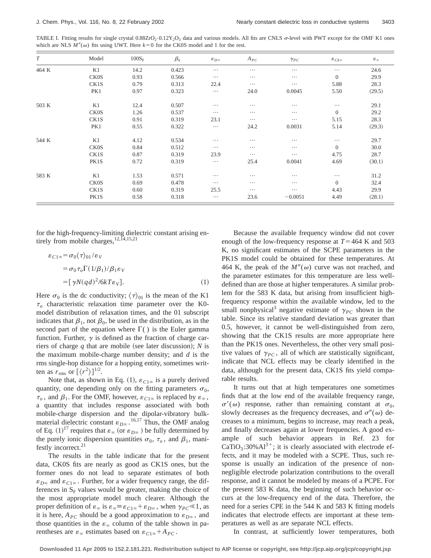TABLE I. Fitting results for single crystal  $0.88ZrO<sub>2</sub>·0.12Y<sub>2</sub>O<sub>3</sub>$  data and various models. All fits are CNLS  $\sigma$ -level with PWT except for the OMF K1 ones which are NLS  $M''(\omega)$  fits using UWT. Here  $k=0$  for the CK0S model and 1 for the rest.

| T     | Model       | $100S_F$ | $\beta_k$ | $\varepsilon_{D^\infty}$ | $A_{PC}$ | $\gamma_{PC}$ | $\varepsilon_{Ck^{\infty}}$ | $\epsilon_{\infty}$ |
|-------|-------------|----------|-----------|--------------------------|----------|---------------|-----------------------------|---------------------|
| 464 K | K1          | 14.2     | 0.423     | $\cdots$                 | $\cdots$ | $\cdots$      | $\cdots$                    | 24.6                |
|       | <b>CK0S</b> | 0.93     | 0.566     | $\cdots$                 | $\cdots$ | $\cdots$      | $\overline{0}$              | 29.9                |
|       | CK1S        | 0.79     | 0.313     | 22.4                     | $\cdots$ | $\cdots$      | 5.88                        | 28.3                |
|       | PK1         | 0.97     | 0.323     | $\cdots$                 | 24.0     | 0.0045        | 5.50                        | (29.5)              |
| 503 K | K1          | 12.4     | 0.507     | $\cdots$                 | $\cdots$ | $\cdots$      | $\cdots$                    | 29.1                |
|       | CK0S        | 1.26     | 0.537     | $\cdots$                 | $\cdots$ | $\cdots$      | $\Omega$                    | 29.2                |
|       | CK1S        | 0.91     | 0.319     | 23.1                     | $\cdots$ | $\cdots$      | 5.15                        | 28.3                |
|       | PK1         | 0.55     | 0.322     | $\cdots$                 | 24.2     | 0.0031        | 5.14                        | (29.3)              |
| 544 K | K1          | 4.12     | 0.534     | $\cdots$                 | $\cdots$ | $\cdots$      | .                           | 29.7                |
|       | CK0S        | 0.84     | 0.512     | $\cdots$                 | $\cdots$ | $\cdots$      | $\Omega$                    | 30.0                |
|       | CK1S        | 0.87     | 0.319     | 23.9                     | $\cdots$ | $\cdots$      | 4.75                        | 28.7                |
|       | PK1S        | 0.72     | 0.319     | $\ldots$                 | 25.4     | 0.0041        | 4.69                        | (30.1)              |
| 583 K | K1          | 1.53     | 0.571     | $\cdots$                 | $\cdots$ | $\cdots$      | $\cdots$                    | 31.2                |
|       | <b>CK0S</b> | 0.69     | 0.478     | $\cdots$                 | $\cdots$ | $\cdots$      | $\Omega$                    | 32.4                |
|       | CK1S        | 0.60     | 0.319     | 25.5                     | $\cdots$ | $\cdots$      | 4.43                        | 29.9                |
|       | PK1S        | 0.58     | 0.318     | $\cdots$                 | 23.6     | $-0.0051$     | 4.49                        | (28.1)              |

for the high-frequency-limiting dielectric constant arising entirely from mobile charges,  $^{12, \overline{1}4, 15, 21}$ 

$$
\varepsilon_{C1\infty} = \sigma_0 \langle \tau \rangle_{01} / \varepsilon_V
$$
  
=  $\sigma_0 \tau_o \Gamma(1/\beta_1) / \beta_1 \varepsilon_V$   
=  $[\gamma N (q d)^2 / 6k T \varepsilon_V].$  (1)

Here  $\sigma_0$  is the dc conductivity;  $\langle \tau \rangle_{01}$  is the mean of the K1  $\tau$ <sub>o</sub> characteristic relaxation time parameter over the K0model distribution of relaxation times, and the 01 subscript indicates that  $\beta_1$ , not  $\beta_0$ , be used in the distribution, as in the second part of the equation where  $\Gamma$ () is the Euler gamma function. Further,  $\gamma$  is defined as the fraction of charge carriers of charge  $q$  that are mobile (see later discussion);  $N$  is the maximum mobile-charge number density; and *d* is the rms single-hop distance for a hopping entity, sometimes written as  $r_{\text{rms}}$  or  $\left[\langle r^2 \rangle\right]^{1/2}$ .

Note that, as shown in Eq. (1),  $\varepsilon_{C1\infty}$  is a purely derived quantity, one depending only on the fitting parameters  $\sigma_0$ ,  $\tau_o$ , and  $\beta_1$ . For the OMF, however,  $\varepsilon_{C1\infty}$  is replaced by  $\varepsilon_{\infty}$ , a quantity that includes response associated with both mobile-charge dispersion and the dipolar-vibratory bulkmaterial dielectric constant  $\varepsilon_{D^\infty}$ . <sup>16,17</sup> Thus, the OMF analog of Eq.  $(1)^{17}$  requires that  $\varepsilon_{\infty}$  (or  $\varepsilon_{D\infty}$  ) be fully determined by the purely ionic dispersion quantities  $\sigma_0$ ,  $\tau_o$ , and  $\beta_1$ , manifestly incorrect.<sup>21</sup>

The results in the table indicate that for the present data, CK0S fits are nearly as good as CK1S ones, but the former ones do not lead to separate estimates of both  $\varepsilon_{D\infty}$  and  $\varepsilon_{C1\infty}$ . Further, for a wider frequency range, the differences in  $S_F$  values would be greater, making the choice of the most appropriate model much clearer. Although the proper definition of  $\varepsilon_{\infty}$  is  $\varepsilon_{\infty} \equiv \varepsilon_{C1\infty} + \varepsilon_{D\infty}$ , when  $\gamma_{PC} \le 1$ , as it is here,  $A_{PC}$  should be a good approximation to  $\varepsilon_{D^\infty}$ , and those quantities in the  $\varepsilon_{\infty}$  column of the table shown in parentheses are  $\varepsilon_{\infty}$  estimates based on  $\varepsilon_{C1\infty} + A_{PC}$ .

Because the available frequency window did not cover enough of the low-frequency response at  $T=464$  K and 503 K, no significant estimates of the SCPE parameters in the PK1S model could be obtained for these temperatures. At 464 K, the peak of the  $M''(\omega)$  curve was not reached, and the parameter estimates for this temperature are less welldefined than are those at higher temperatures. A similar problem for the 583 K data, but arising from insufficient highfrequency response within the available window, led to the small nonphysical<sup>3</sup> negative estimate of  $\gamma_{PC}$  shown in the table. Since its relative standard deviation was greater than 0.5, however, it cannot be well-distinguished from zero, showing that the CK1S results are more appropriate here than the PK1S ones. Nevertheless, the other very small positive values of  $\gamma_{PC}$ , all of which are statistically significant, indicate that NCL effects may be clearly identified in the data, although for the present data, CK1S fits yield comparable results.

It turns out that at high temperatures one sometimes finds that at the low end of the available frequency range,  $\sigma'(\omega)$  response, rather than remaining constant at  $\sigma_0$ , slowly decreases as the frequency decreases, and  $\sigma''(\omega)$  decreases to a minimum, begins to increase, may reach a peak, and finally decreases again at lower frequencies. A good example of such behavior appears in Ref. 23 for  $CaTiO<sub>3</sub>:30%Al<sup>3+</sup>;$  it is clearly associated with electrode effects, and it may be modeled with a SCPE. Thus, such response is usually an indication of the presence of nonnegligible electrode polarization contributions to the overall response, and it cannot be modeled by means of a PCPE. For the present 583 K data, the beginning of such behavior occurs at the low-frequency end of the data. Therefore, the need for a series CPE in the 544 K and 583 K fitting models indicates that electrode effects are important at these temperatures as well as are separate NCL effects.

In contrast, at sufficiently lower temperatures, both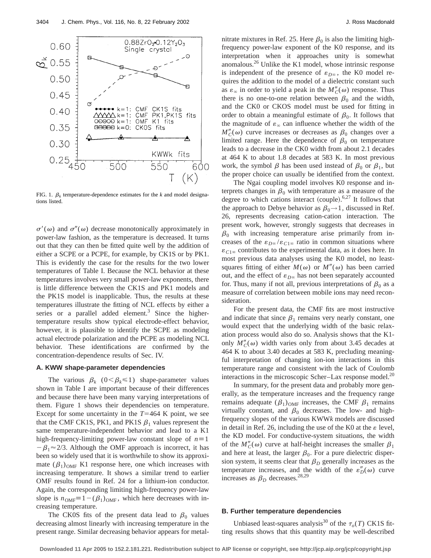

FIG. 1.  $\beta_k$  temperature-dependence estimates for the *k* and model designations listed.

 $\sigma'(\omega)$  and  $\sigma''(\omega)$  decrease monotonically approximately in power-law fashion, as the temperature is decreased. It turns out that they can then be fitted quite well by the addition of either a SCPE or a PCPE, for example, by CK1S or by PK1. This is evidently the case for the results for the two lower temperatures of Table I. Because the NCL behavior at these temperatures involves very small power-law exponents, there is little difference between the CK1S and PK1 models and the PK1S model is inapplicable. Thus, the results at these temperatures illustrate the fitting of NCL effects by either a series or a parallel added element.<sup>3</sup> Since the highertemperature results show typical electrode-effect behavior, however, it is plausible to identify the SCPE as modeling actual electrode polarization and the PCPE as modeling NCL behavior. These identifications are confirmed by the concentration-dependence results of Sec. IV.

# **A. KWW shape-parameter dependencies**

The various  $\beta_k$  ( $0 < \beta_k \le 1$ ) shape-parameter values shown in Table I are important because of their differences and because there have been many varying interpretations of them. Figure 1 shows their dependencies on temperature. Except for some uncertainty in the  $T=464$  K point, we see that the CMF CK1S, PK1, and PK1S  $\beta_1$  values represent the same temperature-independent behavior and lead to a K1 high-frequency-limiting power-law constant slope of  $n\equiv 1$  $-\beta_1 \approx 2/3$ . Although the OMF approach is incorrect, it has been so widely used that it is worthwhile to show its approximate  $(\beta_1)_{\text{OMF}}$  K1 response here, one which increases with increasing temperature. It shows a similar trend to earlier OMF results found in Ref. 24 for a lithium-ion conductor. Again, the corresponding limiting high-frequency power-law slope is  $n_{OMF} \equiv 1 - (\beta_1)_{OMF}$ , which here decreases with increasing temperature.

The CK0S fits of the present data lead to  $\beta_0$  values decreasing almost linearly with increasing temperature in the present range. Similar decreasing behavior appears for metalnitrate mixtures in Ref. 25. Here  $\beta_0$  is also the limiting highfrequency power-law exponent of the K0 response, and its interpretation when it approaches unity is somewhat anomalous.26 Unlike the K1 model, whose intrinsic response is independent of the presence of  $\varepsilon_{D^\infty}$ , the K0 model requires the addition to the model of a dielectric constant such as  $\varepsilon_{\infty}$  in order to yield a peak in the  $M''_C(\omega)$  response. Thus there is no one-to-one relation between  $\beta_0$  and the width, and the CK0 or CKOS model must be used for fitting in order to obtain a meaningful estimate of  $\beta_0$ . It follows that the magnitude of  $\varepsilon_{\infty}$  can influence whether the width of the  $M''_C(\omega)$  curve increases or decreases as  $\beta_0$  changes over a limited range. Here the dependence of  $\beta_0$  on temperature leads to a decrease in the CK0 width from about 2.1 decades at 464 K to about 1.8 decades at 583 K. In most previous work, the symbol  $\beta$  has been used instead of  $\beta_0$  or  $\beta_1$ , but the proper choice can usually be identified from the context.

The Ngai coupling model involves K0 response and interprets changes in  $\beta_0$  with temperature as a measure of the degree to which cations interact (couple). $6,27$  It follows that the approach to Debye behavior as  $\beta_0 \rightarrow 1$ , discussed in Ref. 26, represents decreasing cation-cation interaction. The present work, however, strongly suggests that decreases in  $\beta_0$  with increasing temperature arise primarily from increases of the  $\varepsilon_{D^\infty}/\varepsilon_{C1^\infty}$  ratio in common situations where  $\varepsilon_{C1\infty}$  contributes to the experimental data, as it does here. In most previous data analyses using the K0 model, no leastsquares fitting of either  $M(\omega)$  or  $M''(\omega)$  has been carried out, and the effect of  $\varepsilon_{D^\infty}$  has not been separately accounted for. Thus, many if not all, previous interpretations of  $\beta_0$  as a measure of correlation between mobile ions may need reconsideration.

For the present data, the CMF fits are most instructive and indicate that since  $\beta_1$  remains very nearly constant, one would expect that the underlying width of the basic relaxation process would also do so. Analysis shows that the K1 only  $M''_C(\omega)$  width varies only from about 3.45 decades at 464 K to about 3.40 decades at 583 K, precluding meaningful interpretation of changing ion-ion interactions in this temperature range and consistent with the lack of Coulomb interactions in the microscopic Scher–Lax response model. $^{20}$ 

In summary, for the present data and probably more generally, as the temperature increases and the frequency range remains adequate  $(\beta_1)_{\text{OMF}}$  increases, the CMF  $\beta_1$  remains virtually constant, and  $\beta_0$  decreases. The low- and highfrequency slopes of the various KWW*k* models are discussed in detail in Ref. 26, including the use of the K0 at the  $\varepsilon$  level, the KD model. For conductive-system situations, the width of the  $M''_C(\omega)$  curve at half-height increases the smaller  $\beta_1$ and here at least, the larger  $\beta_0$ . For a pure dielectric dispersion system, it seems clear that  $\beta_D$  generally increases as the temperature increases, and the width of the  $\varepsilon_D''(\omega)$  curve increases as  $\beta_D$  decreases.<sup>28,29</sup>

# **B. Further temperature dependencies**

Unbiased least-squares analysis<sup>30</sup> of the  $\tau_o(T)$  CK1S fitting results shows that this quantity may be well-described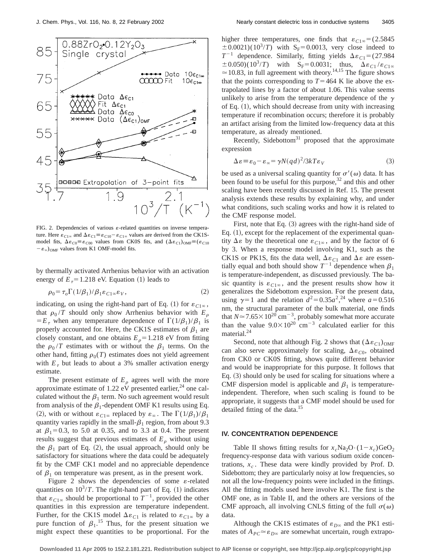

FIG. 2. Dependencies of various  $\varepsilon$ -related quantities on inverse temperature. Here  $\varepsilon_{C1\infty}$  and  $\Delta \varepsilon_{C1} \equiv \varepsilon_{C10} - \varepsilon_{C1\infty}$  values are derived from the CK1Smodel fits,  $\Delta \varepsilon_{C0} = \varepsilon_{C00}$  values from CK0S fits, and  $(\Delta \varepsilon_{C1})_{\text{OMF}} = (\varepsilon_{C10})$  $-\varepsilon_{\infty}$ <sub>OMF</sub> values from K1 OMF-model fits.

by thermally activated Arrhenius behavior with an activation energy of  $E<sub>\tau</sub>=1.218$  eV. Equation (1) leads to

$$
\rho_0 = \tau_o \Gamma(1/\beta_1) / \beta_1 \varepsilon_{C1\infty} \varepsilon_V, \qquad (2)
$$

indicating, on using the right-hand part of Eq. (1) for  $\varepsilon_{C1\infty}$ , that  $\rho_0/T$  should only show Arrhenius behavior with  $E_\rho$  $E_{\tau}$  when any temperature dependence of  $\Gamma(1/\beta_1)/\beta_1$  is properly accounted for. Here, the CK1S estimates of  $\beta_1$  are closely constant, and one obtains  $E_{\rho} = 1.218$  eV from fitting the  $\rho_0/T$  estimates with or without the  $\beta_1$  terms. On the other hand, fitting  $\rho_0(T)$  estimates does not yield agreement with  $E<sub>\tau</sub>$  but leads to about a 3% smaller activation energy estimate.

The present estimate of  $E<sub>o</sub>$  agrees well with the more approximate estimate of 1.22 eV presented earlier,<sup>24</sup> one calculated without the  $\beta_1$  term. No such agreement would result from analysis of the  $\beta_1$ -dependent OMF K1 results using Eq. (2), with or without  $\varepsilon_{C1^\infty}$  replaced by  $\varepsilon_\infty$ . The  $\Gamma(1/\beta_1)/\beta_1$ quantity varies rapidly in the small- $\beta_1$  region, from about 9.3 at  $\beta_1 = 0.3$ , to 5.0 at 0.35, and to 3.3 at 0.4. The present results suggest that previous estimates of  $E<sub>o</sub>$  without using the  $\beta_1$  part of Eq. (2), the usual approach, should only be satisfactory for situations where the data could be adequately fit by the CMF CK1 model and no appreciable dependence of  $\beta_1$  on temperature was present, as in the present work.

Figure 2 shows the dependencies of some  $\varepsilon$ -related quantities on  $10^3/T$ . The right-hand part of Eq.  $(1)$  indicates that  $\varepsilon_{C1\infty}$  should be proportional to  $T^{-1}$ , provided the other quantities in this expression are temperature independent. Further, for the CK1S model  $\Delta \varepsilon_{C1}$  is related to  $\varepsilon_{C1\infty}$  by a pure function of  $\beta_1$ .<sup>15</sup> Thus, for the present situation we might expect these quantities to be proportional. For the higher three temperatures, one finds that  $\varepsilon_{C1\infty} = (2.5845)$  $\pm 0.0021$ )(10<sup>3</sup>/*T*) with S<sub>F</sub>=0.0013, very close indeed to  $T^{-1}$  dependence. Similarly, fitting yields  $\Delta \epsilon_{C1} = (27.984)$  $\pm 0.050$ )(10<sup>3</sup>/*T*) with S<sub>F</sub>=0.0031; thus,  $\Delta \varepsilon_{C1}/\varepsilon_{C1\infty}$  $\approx$  10.83, in full agreement with theory.<sup>14,15</sup> The figure shows that the points corresponding to  $T=464$  K lie above the extrapolated lines by a factor of about 1.06. This value seems unlikely to arise from the temperature dependence of the  $\gamma$ of Eq.  $(1)$ , which should decrease from unity with increasing temperature if recombination occurs; therefore it is probably an artifact arising from the limited low-frequency data at this temperature, as already mentioned.

Recently, Sidebottom $31$  proposed that the approximate expression

$$
\Delta \varepsilon \equiv \varepsilon_0 - \varepsilon_\infty = \gamma N (q d)^2 / 3k T \varepsilon_V \tag{3}
$$

be used as a universal scaling quantity for  $\sigma'(\omega)$  data. It has been found to be useful for this purpose,  $32$  and this and other scaling have been recently discussed in Ref. 15. The present analysis extends these results by explaining why, and under what conditions, such scaling works and how it is related to the CMF response model.

First, note that Eq.  $(3)$  agrees with the right-hand side of Eq.  $(1)$ , except for the replacement of the experimental quantity  $\Delta \varepsilon$  by the theoretical one  $\varepsilon_{C1\infty}$ , and by the factor of 6 by 3. When a response model involving K1, such as the CK1S or PK1S, fits the data well,  $\Delta \varepsilon_{C1}$  and  $\Delta \varepsilon$  are essentially equal and both should show  $T^{-1}$  dependence when  $\beta_1$ is temperature-independent, as discussed previously. The basic quantity is  $\varepsilon_{C1\infty}$ , and the present results show how it generalizes the Sidebottom expression. For the present data, using  $\gamma=1$  and the relation  $d^2=0.35a^2$ , <sup>24</sup> where  $a=0.516$ nm, the structural parameter of the bulk material, one finds that  $N \approx 7.65 \times 10^{20}$  cm<sup>-3</sup>, probably somewhat more accurate than the value  $9.0\times10^{20}$  cm<sup>-3</sup> calculated earlier for this material.<sup>24</sup>

Second, note that although Fig. 2 shows that  $(\Delta \varepsilon_{C1})_{OMF}$ can also serve approximately for scaling,  $\Delta \varepsilon_{C0}$ , obtained from CK0 or CK0S fitting, shows quite different behavior and would be inappropriate for this purpose. It follows that Eq.  $(3)$  should only be used for scaling for situations where a CMF dispersion model is applicable and  $\beta_1$  is temperatureindependent. Therefore, when such scaling is found to be appropriate, it suggests that a CMF model should be used for detailed fitting of the data.<sup>15</sup>

# **IV. CONCENTRATION DEPENDENCE**

Table II shows fitting results for  $x_c$ Na<sub>2</sub>O· $(1-x_c)$ GeO<sub>2</sub> frequency-response data with various sodium oxide concentrations,  $x_c$ . These data were kindly provided by Prof. D. Sidebottom; they are particularly noisy at low frequencies, so not all the low-frequency points were included in the fittings. All the fitting models used here involve K1. The first is the OMF one, as in Table II, and the others are versions of the CMF approach, all involving CNLS fitting of the full  $\sigma(\omega)$ data.

Although the CK1S estimates of  $\varepsilon_{D^\infty}$  and the PK1 estimates of  $A_{PC} \approx \varepsilon_{D\infty}$  are somewhat uncertain, rough extrapo-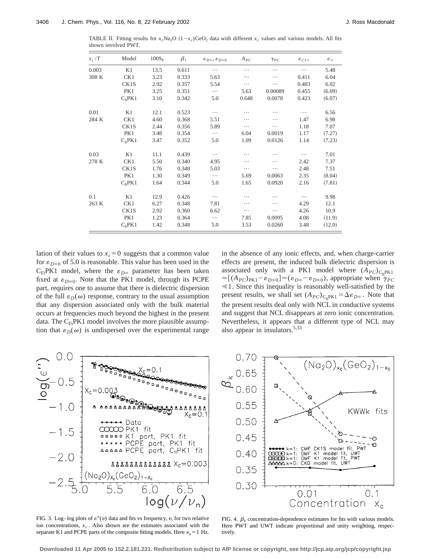TABLE II. Fitting results for  $x_c\text{Na}_2\text{O} \cdot (1-x_c)\text{GeO}_2$  data with different  $x_c$  values and various models. All fits shown involved PWT.

| $x_c/T$ | Model              | $100S_F$ | $\beta_1$ | $\varepsilon_{D^{\infty}}, \varepsilon_{D^{\infty}0}$ | $A_{PC}$ | $\gamma_{PC}$ | $\varepsilon_{C1\infty}$ | $\varepsilon_{\infty}$ |
|---------|--------------------|----------|-----------|-------------------------------------------------------|----------|---------------|--------------------------|------------------------|
| 0.003   | K1                 | 13.5     | 0.611     | $\cdots$                                              | .        | .             | .                        | 5.48                   |
| 308 K   | CK1                | 3.23     | 0.333     | 5.63                                                  | .        | .             | 0.411                    | 6.04                   |
|         | CK1S               | 2.92     | 0.357     | 5.54                                                  | .        | .             | 0.483                    | 6.02                   |
|         | PK1                | 3.25     | 0.351     | $\cdots$                                              | 5.63     | 0.00089       | 0.455                    | (6.09)                 |
|         | $C_f$ PK1          | 3.10     | 0.342     | 5.0                                                   | 0.648    | 0.0078        | 0.423                    | (6.07)                 |
| 0.01    | K1                 | 12.1     | 0.523     | $\cdots$                                              | .        | .             |                          | 6.56                   |
| 284 K   | CK1                | 4.60     | 0.368     | 5.51                                                  | .        | .             | 1.47                     | 6.98                   |
|         | CK1S               | 2.44     | 0.356     | 5.89                                                  | .        | .             | 1.18                     | 7.07                   |
|         | PK1                | 3.48     | 0.354     | $\cdots$                                              | 6.04     | 0.0019        | 1.17                     | (7.27)                 |
|         | C <sub>f</sub> PK1 | 3.47     | 0.352     | 5.0                                                   | 1.09     | 0.0126        | 1.14                     | (7.23)                 |
| 0.03    | K1                 | 11.1     | 0.439     | .                                                     | .        | .             |                          | 7.01                   |
| 278 K   | CK1                | 5.50     | 0.340     | 4.95                                                  | .        | .             | 2.42                     | 7.37                   |
|         | CK1S               | 1.76     | 0.348     | 5.03                                                  | .        | .             | 2.48                     | 7.51                   |
|         | PK1                | 1.30     | 0.349     | $\cdots$                                              | 5.69     | 0.0063        | 2.35                     | (8.04)                 |
|         | $C_6$ PK1          | 1.64     | 0.344     | 5.0                                                   | 1.65     | 0.0920        | 2.16                     | (7.81)                 |
| 0.1     | K1                 | 12.9     | 0.426     | $\cdots$                                              | .        | .             |                          | 9.98                   |
| 263 K   | CK1                | 6.27     | 0.348     | 7.81                                                  | .        | .             | 4.29                     | 12.1                   |
|         | CK1S               | 2.92     | 0.360     | 6.62                                                  | .        | .             | 4.26                     | 10.9                   |
|         | PK1                | 1.23     | 0.364     | $\cdots$                                              | 7.85     | 0.0095        | 4.08                     | (11.9)                 |
|         | $C_6$ PK1          | 1.42     | 0.348     | 5.0                                                   | 3.53     | 0.0260        | 3.48                     | (12.0)                 |

lation of their values to  $x_c = 0$  suggests that a common value for  $\varepsilon_{D\infty0}$  of 5.0 is reasonable. This value has been used in the  $C_{Fi}PK1$  model, where the  $\varepsilon_{D\infty}$  parameter has been taken fixed at  $\varepsilon_{D\infty0}$ . Note that the PK1 model, through its PCPE part, requires one to assume that there is dielectric dispersion of the full  $\varepsilon_D(\omega)$  response, contrary to the usual assumption that any dispersion associated only with the bulk material occurs at frequencies much beyond the highest in the present data. The  $C_{Fi}PK1$  model involves the more plausible assumption that  $\varepsilon_D(\omega)$  is undispersed over the experimental range in the absence of any ionic effects, and, when charge-carrier effects are present, the induced bulk dielectric dispersion is associated only with a PK1 model where  $(A_{PC})_{C_c}P_{K1}$  $\approx [(A_{PC})_{PK1} - \varepsilon_{D\infty 0}] \approx (\varepsilon_{D\infty} - \varepsilon_{D\infty 0})$ , appropriate when  $\psi_{PC}$  $\leq 1$ . Since this inequality is reasonably well-satisfied by the present results, we shall set  $(A_{PC})_{C_6PK1} = \Delta \varepsilon_{D\infty}$ . Note that the present results deal only with NCL in conductive systems and suggest that NCL disappears at zero ionic concentration. Nevertheless, it appears that a different type of NCL may also appear in insulators.5,33



FIG. 3. Log-log plots of  $\varepsilon''(v)$  data and fits vs frequency, v, for two relative ion concentrations,  $x_c$ . Also shown are the estimates associated with the separate K1 and PCPE parts of the composite fitting models. Here  $v_n = 1$  Hz.



FIG. 4.  $\beta_k$  concentration-dependence estimates for fits with various models. Here PWT and UWT indicate proportional and unity weighting, respectively.

**Downloaded 11 Apr 2005 to 152.2.181.221. Redistribution subject to AIP license or copyright, see http://jcp.aip.org/jcp/copyright.jsp**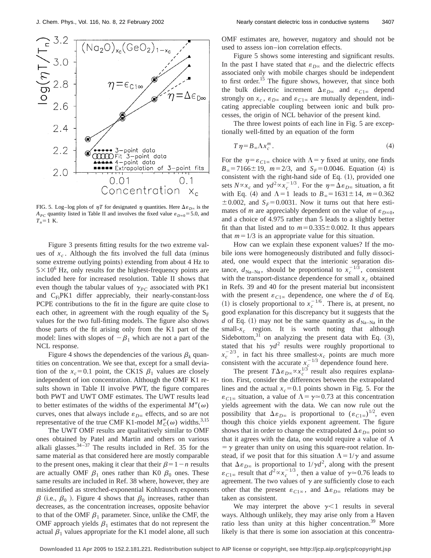

FIG. 5. Log–log plots of  $\eta T$  for designated  $\eta$  quantities. Here  $\Delta \varepsilon_{D\infty}$  is the  $A_{PC}$  quantity listed in Table II and involves the fixed value  $\varepsilon_{D\infty0}$ =5.0, and  $T_n = 1$  K.

Figure 3 presents fitting results for the two extreme values of  $x_c$ . Although the fits involved the full data (minus some extreme outlying points) extending from about 4 Hz to  $5 \times 10^6$  Hz, only results for the highest-frequency points are included here for increased resolution. Table II shows that even though the tabular values of  $\gamma_{PC}$  associated with PK1 and  $C_{Fi}PK1$  differ appreciably, their nearly-constant-loss PCPE contributions to the fit in the figure are quite close to each other, in agreement with the rough equality of the  $S_F$ values for the two full-fitting models. The figure also shows those parts of the fit arising only from the K1 part of the model: lines with slopes of  $-\beta_1$  which are not a part of the NCL response.

Figure 4 shows the dependencies of the various  $\beta_k$  quantities on concentration. We see that, except for a small deviation of the  $x_c$ =0.1 point, the CK1S  $\beta_1$  values are closely independent of ion concentration. Although the OMF K1 results shown in Table II involve PWT, the figure compares both PWT and UWT OMF estimates. The UWT results lead to better estimates of the widths of the experimental  $M''(\omega)$ curves, ones that always include  $\varepsilon_{D^\infty}$  effects, and so are not representative of the true CMF K1-model  $M''_C(\omega)$  widths.<sup>3,15</sup>

The UWT OMF results are qualitatively similar to OMF ones obtained by Patel and Martin and others on various alkali glasses. $34-37$  The results included in Ref. 35 for the same material as that considered here are mostly comparable to the present ones, making it clear that their  $\beta=1-n$  results are actually OMF  $\beta_1$  ones rather than K0  $\beta_0$  ones. These same results are included in Ref. 38 where, however, they are misidentified as stretched-exponential Kohlrausch exponents  $\beta$  (i.e.,  $\beta_0$ ). Figure 4 shows that  $\beta_0$  increases, rather than decreases, as the concentration increases, opposite behavior to that of the OMF  $\beta_1$  parameter. Since, unlike the CMF, the OMF approach yields  $\beta_1$  estimates that do not represent the actual  $\beta_1$  values appropriate for the K1 model alone, all such OMF estimates are, however, nugatory and should not be used to assess ion–ion correlation effects.

Figure 5 shows some interesting and significant results. In the past I have stated that  $\varepsilon_{D^\infty}$  and the dielectric effects associated only with mobile charges should be independent to first order.<sup>15</sup> The figure shows, however, that since both the bulk dielectric increment  $\Delta \varepsilon_{D\infty}$  and  $\varepsilon_{C1\infty}$  depend strongly on  $x_c$ ,  $\varepsilon_{D^\infty}$  and  $\varepsilon_{C1^\infty}$  are mutually dependent, indicating appreciable coupling between ionic and bulk processes, the origin of NCL behavior of the present kind.

The three lowest points of each line in Fig. 5 are exceptionally well-fitted by an equation of the form

$$
T\eta = B_{\infty}\Lambda x_c^m\,. \tag{4}
$$

For the  $\eta = \varepsilon_{C1\infty}$  choice with  $\Lambda = \gamma$  fixed at unity, one finds  $B_\infty$ =7166 $\pm$ 19, *m*=2/3, and *S<sub>F</sub>*=0.0046. Equation (4) is consistent with the right-hand side of Eq.  $(1)$ , provided one sets  $N \propto x_c$  and  $\gamma d^2 \propto x_c^{-1/3}$ . For the  $\eta = \Delta \varepsilon_{D\infty}$  situation, a fit with Eq. (4) and  $\Lambda = 1$  leads to  $B_\infty = 1631 \pm 14$ ,  $m = 0.362$  $\pm$  0.002, and *S<sub>F</sub>*=0.0031. Now it turns out that here estimates of *m* are appreciably dependent on the value of  $\varepsilon_{D\infty}$ , and a choice of 4.975 rather than 5 leads to a slightly better fit than that listed and to  $m=0.335\pm0.002$ . It thus appears that  $m=1/3$  is an appropriate value for this situation.

How can we explain these exponent values? If the mobile ions were homogeneously distributed and fully dissociated, one would expect that the interionic separation distance,  $d_{\text{Na}-\text{Na}}$ , should be proportional to  $x_c^{-1/3}$ , consistent with the transport-distance dependence for small  $x_c$  obtained in Refs. 39 and 40 for the present material but inconsistent with the present  $\varepsilon_{C1\infty}$  dependence, one where the *d* of Eq. (1) is closely proportional to  $x_c^{-1/6}$ . There is, at present, no good explanation for this discrepancy but it suggests that the *d* of Eq. (1) may not be the same quantity as  $d_{Na-Na}$  in the small- $x_c$  region. It is worth noting that although Sidebottom, $31$  on analyzing the present data with Eq.  $(3)$ , stated that his  $\gamma d^2$  results were roughly proportional to  $x_c^{-2/3}$ , in fact his three smallest- $x_c$  points are much more consistent with the accurate  $x_c^{-1/3}$  dependence found here.

The present  $T\Delta\varepsilon_{D\infty} \propto x_c^{1/3}$  result also requires explanation. First, consider the differences between the extrapolated lines and the actual  $x_c = 0.1$  points shown in Fig. 5. For the  $\varepsilon_{C1\infty}$  situation, a value of  $\Lambda = \gamma \approx 0.73$  at this concentration yields agreement with the data. We can now rule out the possibility that  $\Delta \varepsilon_{D^\infty}$  is proportional to  $(\varepsilon_{C1\infty})^{1/2}$ , even though this choice yields exponent agreement. The figure shows that in order to change the extrapolated  $\Delta \varepsilon_{D\infty}$  point so that it agrees with the data, one would require a value of  $\Lambda$  $=$   $\gamma$  greater than unity on using this square-root relation. Instead, if we posit that for this situation  $\Lambda = 1/\gamma$  and assume that  $\Delta \varepsilon_{D^\infty}$  is proportional to  $1/\gamma d^2$ , along with the present  $\varepsilon_{C1\infty}$  result that  $d^2 \propto x_c^{-1/3}$ , then a value of  $\gamma \approx 0.76$  leads to agreement. The two values of  $\gamma$  are sufficiently close to each other that the present  $\varepsilon_{C1\infty}$ , and  $\Delta \varepsilon_{D\infty}$  relations may be taken as consistent.

We may interpret the above  $\gamma$ <1 results in several ways. Although unlikely, they may arise only from a Haven ratio less than unity at this higher concentration.<sup>39</sup> More likely is that there is some ion association at this concentra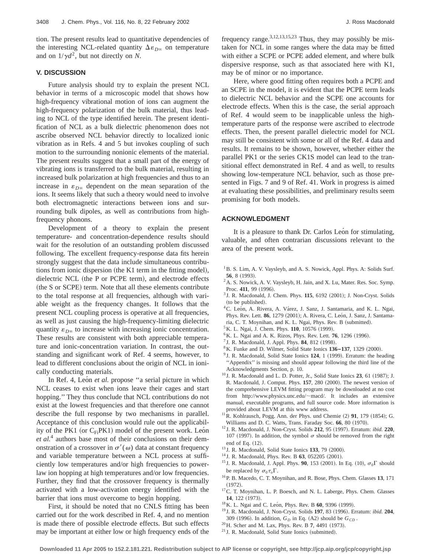tion. The present results lead to quantitative dependencies of the interesting NCL-related quantity  $\Delta \varepsilon_{D\infty}$  on temperature and on  $1/\gamma d^2$ , but not directly on *N*.

# **V. DISCUSSION**

Future analysis should try to explain the present NCL behavior in terms of a microscopic model that shows how high-frequency vibrational motion of ions can augment the high-frequency polarization of the bulk material, thus leading to NCL of the type identified herein. The present identification of NCL as a bulk dielectric phenomenon does not ascribe observed NCL behavior directly to localized ionic vibration as in Refs. 4 and 5 but invokes coupling of such motion to the surrounding nonionic elements of the material. The present results suggest that a small part of the energy of vibrating ions is transferred to the bulk material, resulting in increased bulk polarization at high frequencies and thus to an increase in  $\varepsilon_{D^\infty}$  dependent on the mean separation of the ions. It seems likely that such a theory would need to involve both electromagnetic interactions between ions and surrounding bulk dipoles, as well as contributions from highfrequency phonons.

Development of a theory to explain the present temperature- and concentration-dependence results should wait for the resolution of an outstanding problem discussed following. The excellent frequency-response data fits herein strongly suggest that the data include simultaneous contributions from ionic dispersion (the K1 term in the fitting model), dielectric NCL (the P or PCPE term), and electrode effects (the S or SCPE) term. Note that all these elements contribute to the total response at all frequencies, although with variable weight as the frequency changes. It follows that the present NCL coupling process is operative at all frequencies, as well as just causing the high-frequency-limiting dielectric quantity  $\varepsilon_{D^\infty}$  to increase with increasing ionic concentration. These results are consistent with both appreciable temperature and ionic-concentration variation. In contrast, the outstanding and significant work of Ref. 4 seems, however, to lead to different conclusions about the origin of NCL in ionically conducting materials.

In Ref. 4, León et al. propose "a serial picture in which NCL ceases to exist when ions leave their cages and start hopping.'' They thus conclude that NCL contributions do not exist at the lowest frequencies and that therefore one cannot describe the full response by two mechanisms in parallel. Acceptance of this conclusion would rule out the applicability of the PK1 (or  $C_{Fi}PK1$ ) model of the present work. Leon *et al.*<sup>4</sup> authors base most of their conclusions on their demonstration of a crossover in  $\sigma'(\omega)$  data at constant frequency and variable temperature between a NCL process at sufficiently low temperatures and/or high frequencies to powerlaw ion hopping at high temperatures and/or low frequencies. Further, they find that the crossover frequency is thermally activated with a low-activation energy identified with the barrier that ions must overcome to begin hopping.

First, it should be noted that no CNLS fitting has been carried out for the work described in Ref. 4, and no mention is made there of possible electrode effects. But such effects may be important at either low or high frequency ends of the frequency range.<sup>3,12,13,15,23</sup> Thus, they may possibly be mistaken for NCL in some ranges where the data may be fitted with either a SCPE or PCPE added element, and where bulk dispersive response, such as that associated here with K1, may be of minor or no importance.

Here, where good fitting often requires both a PCPE and an SCPE in the model, it is evident that the PCPE term leads to dielectric NCL behavior and the SCPE one accounts for electrode effects. When this is the case, the serial approach of Ref. 4 would seem to be inapplicable unless the hightemperature parts of the response were ascribed to electrode effects. Then, the present parallel dielectric model for NCL may still be consistent with some or all of the Ref. 4 data and results. It remains to be shown, however, whether either the parallel PK1 or the series CK1S model can lead to the transitional effect demonstrated in Ref. 4 and as well, to results showing low-temperature NCL behavior, such as those presented in Figs. 7 and 9 of Ref. 41. Work in progress is aimed at evaluating these possibilities, and preliminary results seem promising for both models.

# **ACKNOWLEDGMENT**

It is a pleasure to thank Dr. Carlos Leon for stimulating, valuable, and often contrarian discussions relevant to the area of the present work.

- <sup>1</sup>B. S. Lim, A. V. Vaysleyb, and A. S. Nowick, Appl. Phys. A: Solids Surf. **56**, 8 (1993).
- <sup>2</sup>A. S. Nowick, A. V. Vaysleyb, H. Jain, and X. Lu, Mater. Res. Soc. Symp. Proc. 411, 99 (1996).
- $3$  J. R. Macdonald, J. Chem. Phys.  $115$ ,  $6192$   $(2001)$ ; J. Non-Cryst. Solids (to be published).
- <sup>4</sup>C. León, A. Rivera, A. Várez, J. Sanz, J. Santamaria, and K. L. Ngai, Phys. Rev. Lett. 86, 1279 (2001); A. Rivera, C. León, J. Sanz, J. Santamaria, C. T. Moynihan, and K. L. Ngai, Phys. Rev. B (submitted).
- <sup>5</sup>K. L. Ngai, J. Chem. Phys. **110**, 10576 (1999).
- <sup>6</sup>K. L. Ngai and A. K. Rizos, Phys. Rev. Lett. **76**, 1296 (1996).
- $7$  J. R. Macdonald, J. Appl. Phys. **84**, 812 (1998).
- <sup>8</sup>K. Funke and D. Wilmer, Solid State Ionics **136-137**, 1329 (2000).
- <sup>9</sup> J. R. Macdonald, Solid State Ionics 124, 1 (1999). Erratum: the heading ''Appendix'' is missing and should appear following the third line of the Acknowledgments Section, p. 10.
- $10$  J. R. Macdonald and L. D. Potter, Jr., Solid State Ionics  $23$ , 61 (1987); J. R. Macdonald, J. Comput. Phys. 157, 280 (2000). The newest version of the comprehensive LEVM fitting program may be downloaded at no cost from http://www.physics.unc.edu/~macd/. It includes an extensive manual, executable programs, and full source code. More information is provided about LEVM at this www address.
- $11^{\circ}$ R. Kohlrausch, Pogg. Ann. der Phys. und Chemie (2) **91**, 179 (1854); G. Williams and D. C. Watts, Trans. Faraday Soc. 66, 80 (1970).
- <sup>12</sup> J. R. Macdonald, J. Non-Cryst. Solids **212**, 95 (1997). Erratum: *ibid.* **220**, 107 (1997). In addition, the symbol  $\sigma$  should be removed from the right end of Eq.  $(12)$ .
- <sup>13</sup> J. R. Macdonald, Solid State Ionics **133**, 79 (2000).
- <sup>14</sup> J. R. Macdonald, Phys. Rev. B **63**, 052205 (2001).
- <sup>15</sup> J. R. Macdonald, J. Appl. Phys. **90**, 153 (2001). In Eq. (10),  $\sigma_0 \Gamma$  should be replaced by  $\sigma_0 \tau_o \Gamma$ .
- 16P. B. Macedo, C. T. Moynihan, and R. Bose, Phys. Chem. Glasses **13**, 171  $(1972).$
- <sup>17</sup>C. T. Moynihan, L. P. Boesch, and N. L. Laberge, Phys. Chem. Glasses 14, 122 (1973).
- <sup>18</sup>K. L. Ngai and C. León, Phys. Rev. B 60, 9396 (1999).
- <sup>19</sup> J. R. Macdonald, J. Non-Cryst. Solids 197, 83 (1996). Erratum: *ibid.* 204, 309 (1996). In addition,  $G_D$  in Eq. (A2) should be  $G_{CD}$ .
- <sup>20</sup> H. Scher and M. Lax, Phys. Rev. B 7, 4491 (1973).
- $21$  J. R. Macdonald, Solid State Ionics (submitted).